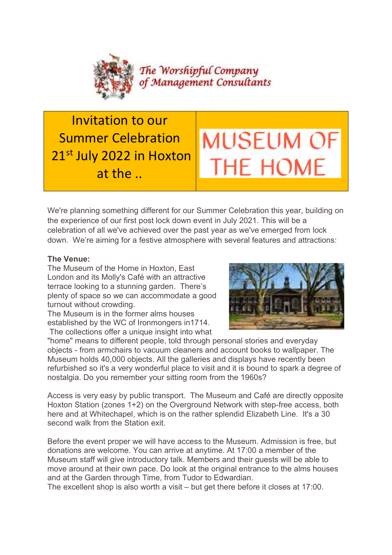

Invitation to our Summer Celebration 21st July 2022 in Hoxton at the ..



We're planning something different for our Summer Celebration this year, building on the experience of our first post lock down event in July 2021. This will be a celebration of all we've achieved over the past year as we've emerged from lock down. We're aiming for a festive atmosphere with several features and attractions:

## The Venue:

The Museum of the Home in Hoxton, East London and its Molly's Café with an attractive terrace looking to a stunning garden. There's plenty of space so we can accommodate a good turnout without crowding.

The Museum is in the former alms houses established by the WC of Ironmongers in1714. The collections offer a unique insight into what



"home" means to different people, told through personal stories and everyday objects - from armchairs to vacuum cleaners and account books to wallpaper. The Museum holds 40,000 objects. All the galleries and displays have recently been refurbished so it's a very wonderful place to visit and it is bound to spark a degree of nostalgia. Do you remember your sitting room from the 1960s?

Access is very easy by public transport. The Museum and Café are directly opposite Hoxton Station (zones 1+2) on the Overground Network with step-free access, both here and at Whitechapel, which is on the rather splendid Elizabeth Line. It's a 30 second walk from the Station exit.

Before the event proper we will have access to the Museum. Admission is free, but donations are welcome. You can arrive at anytime. At 17:00 a member of the Museum staff will give introductory talk. Members and their guests will be able to move around at their own pace. Do look at the original entrance to the alms houses and at the Garden through Time, from Tudor to Edwardian.

The excellent shop is also worth a visit – but get there before it closes at 17:00.